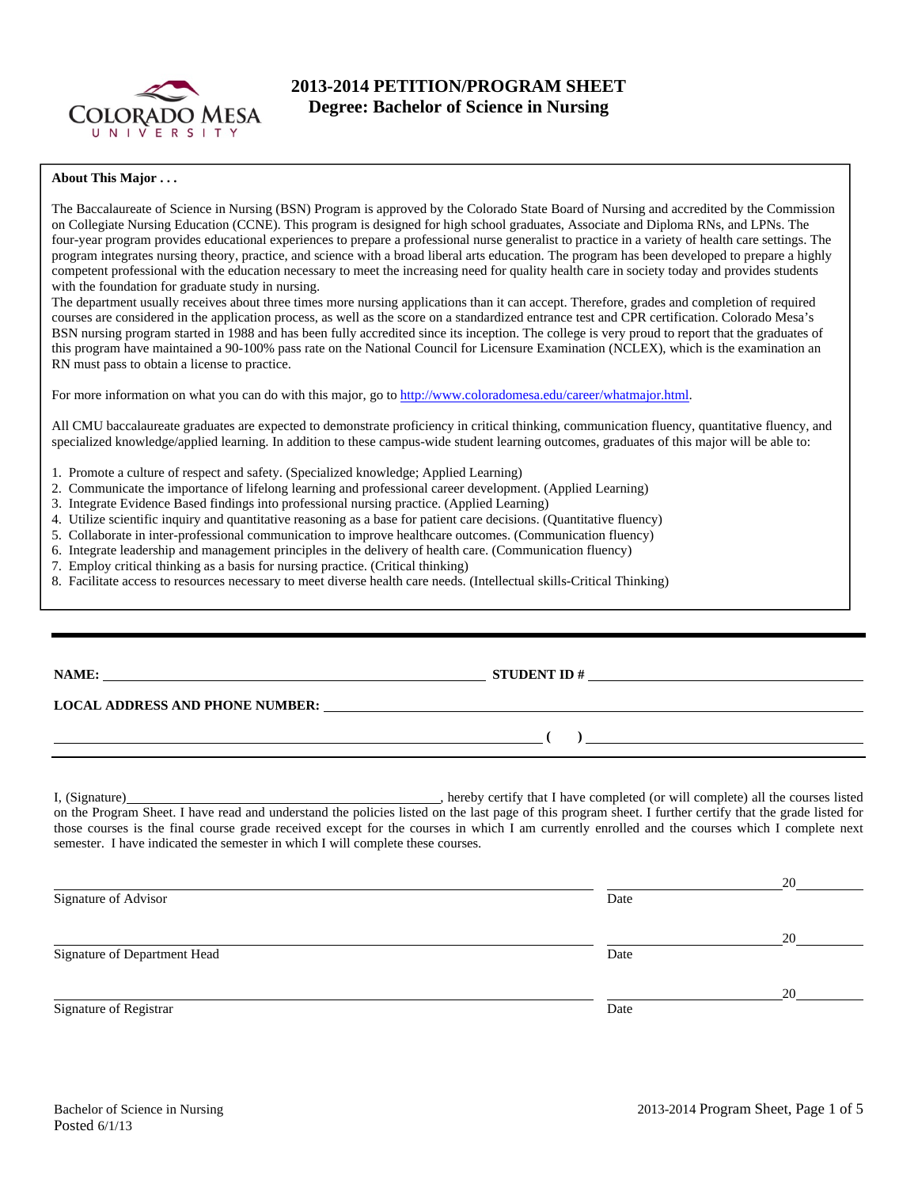

## **2013-2014 PETITION/PROGRAM SHEET Degree: Bachelor of Science in Nursing**

#### **About This Major . . .**

The Baccalaureate of Science in Nursing (BSN) Program is approved by the Colorado State Board of Nursing and accredited by the Commission on Collegiate Nursing Education (CCNE). This program is designed for high school graduates, Associate and Diploma RNs, and LPNs. The four-year program provides educational experiences to prepare a professional nurse generalist to practice in a variety of health care settings. The program integrates nursing theory, practice, and science with a broad liberal arts education. The program has been developed to prepare a highly competent professional with the education necessary to meet the increasing need for quality health care in society today and provides students with the foundation for graduate study in nursing.

The department usually receives about three times more nursing applications than it can accept. Therefore, grades and completion of required courses are considered in the application process, as well as the score on a standardized entrance test and CPR certification. Colorado Mesa's BSN nursing program started in 1988 and has been fully accredited since its inception. The college is very proud to report that the graduates of this program have maintained a 90-100% pass rate on the National Council for Licensure Examination (NCLEX), which is the examination an RN must pass to obtain a license to practice.

For more information on what you can do with this major, go to http://www.coloradomesa.edu/career/whatmajor.html.

All CMU baccalaureate graduates are expected to demonstrate proficiency in critical thinking, communication fluency, quantitative fluency, and specialized knowledge/applied learning. In addition to these campus-wide student learning outcomes, graduates of this major will be able to:

- 1. Promote a culture of respect and safety. (Specialized knowledge; Applied Learning)
- 2. Communicate the importance of lifelong learning and professional career development. (Applied Learning)
- 3. Integrate Evidence Based findings into professional nursing practice. (Applied Learning)
- 4. Utilize scientific inquiry and quantitative reasoning as a base for patient care decisions. (Quantitative fluency)
- 5. Collaborate in inter-professional communication to improve healthcare outcomes. (Communication fluency)
- 6. Integrate leadership and management principles in the delivery of health care. (Communication fluency)
- 7. Employ critical thinking as a basis for nursing practice. (Critical thinking)
- 8. Facilitate access to resources necessary to meet diverse health care needs. (Intellectual skills-Critical Thinking)

**NAME: STUDENT ID #** 

**LOCAL ADDRESS AND PHONE NUMBER:**

 **( )** 

I, (Signature) **Solution** , hereby certify that I have completed (or will complete) all the courses listed on the Program Sheet. I have read and understand the policies listed on the last page of this program sheet. I further certify that the grade listed for those courses is the final course grade received except for the courses in which I am currently enrolled and the courses which I complete next semester. I have indicated the semester in which I will complete these courses.

|                              |      | 20 |
|------------------------------|------|----|
| Signature of Advisor         | Date |    |
|                              |      | 20 |
| Signature of Department Head | Date |    |
|                              |      | 20 |
| Signature of Registrar       | Date |    |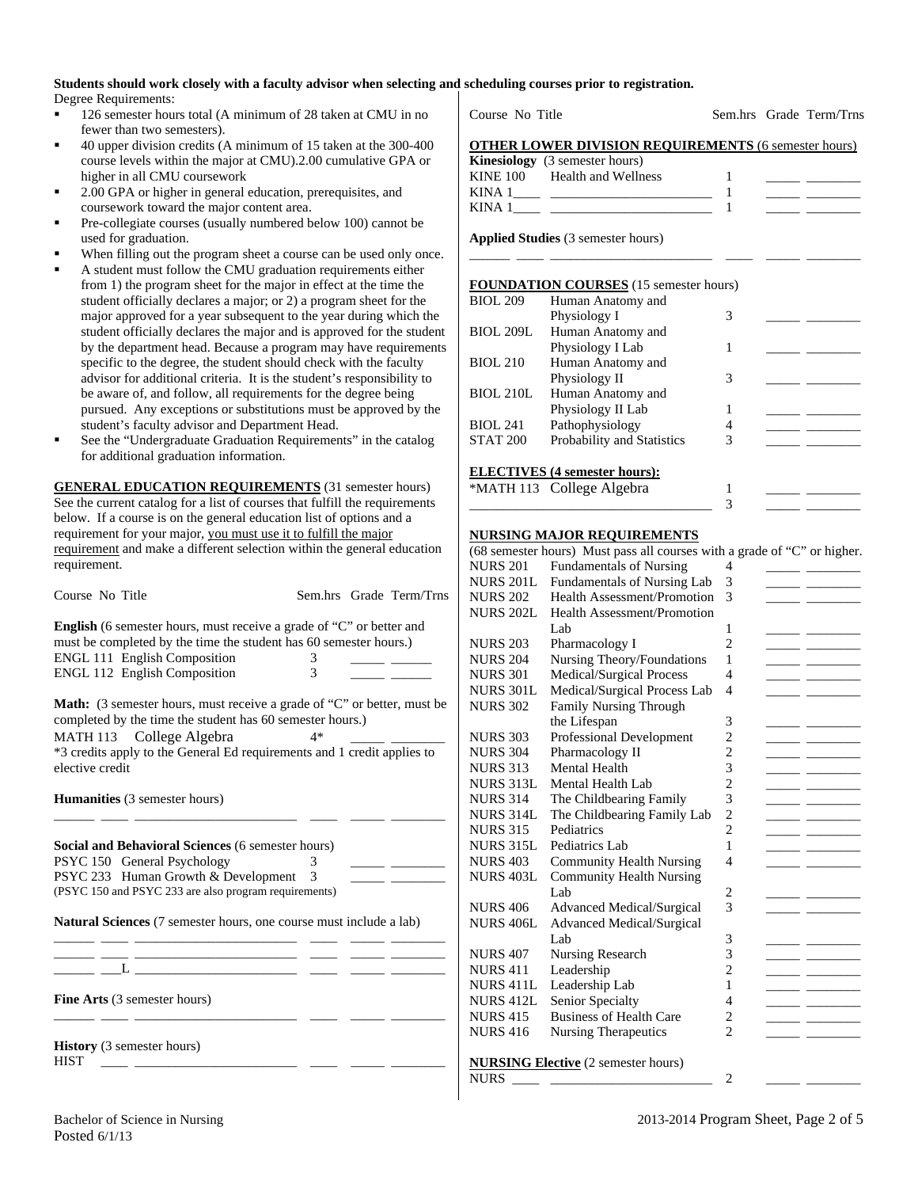#### **Students should work closely with a faculty advisor when selecting and scheduling courses prior to registration.**  Degree Requirements:

- 126 semester hours total (A minimum of 28 taken at CMU in no fewer than two semesters).
- 40 upper division credits (A minimum of 15 taken at the 300-400 course levels within the major at CMU).2.00 cumulative GPA or higher in all CMU coursework
- 2.00 GPA or higher in general education, prerequisites, and coursework toward the major content area.
- Pre-collegiate courses (usually numbered below 100) cannot be used for graduation.
- When filling out the program sheet a course can be used only once.
- A student must follow the CMU graduation requirements either from 1) the program sheet for the major in effect at the time the student officially declares a major; or 2) a program sheet for the major approved for a year subsequent to the year during which the student officially declares the major and is approved for the student by the department head. Because a program may have requirements specific to the degree, the student should check with the faculty advisor for additional criteria. It is the student's responsibility to be aware of, and follow, all requirements for the degree being pursued. Any exceptions or substitutions must be approved by the student's faculty advisor and Department Head.
- See the "Undergraduate Graduation Requirements" in the catalog for additional graduation information.

**GENERAL EDUCATION REQUIREMENTS** (31 semester hours) See the current catalog for a list of courses that fulfill the requirements below. If a course is on the general education list of options and a requirement for your major, you must use it to fulfill the major requirement and make a different selection within the general education requirement.

| Course No Title                                                                                                                                                                                                  |                |  | Sem.hrs Grade Term/Trns |  |  |  |  |
|------------------------------------------------------------------------------------------------------------------------------------------------------------------------------------------------------------------|----------------|--|-------------------------|--|--|--|--|
| <b>English</b> (6 semester hours, must receive a grade of "C" or better and<br>must be completed by the time the student has 60 semester hours.)<br>ENGL 111 English Composition<br>ENGL 112 English Composition | 3<br>3         |  |                         |  |  |  |  |
| <b>Math:</b> (3 semester hours, must receive a grade of "C" or better, must be<br>completed by the time the student has 60 semester hours.)<br>MATH 113 College Algebra<br>$4*$                                  |                |  |                         |  |  |  |  |
| *3 credits apply to the General Ed requirements and 1 credit applies to<br>elective credit                                                                                                                       |                |  |                         |  |  |  |  |
| <b>Humanities</b> (3 semester hours)                                                                                                                                                                             |                |  |                         |  |  |  |  |
| Social and Behavioral Sciences (6 semester hours)<br>PSYC 150 General Psychology                                                                                                                                 | 3              |  |                         |  |  |  |  |
| PSYC 233 Human Growth & Development<br>(PSYC 150 and PSYC 233 are also program requirements)                                                                                                                     | $\overline{3}$ |  |                         |  |  |  |  |
| Natural Sciences (7 semester hours, one course must include a lab)                                                                                                                                               |                |  |                         |  |  |  |  |
|                                                                                                                                                                                                                  |                |  |                         |  |  |  |  |
| <b>Fine Arts</b> (3 semester hours)<br>___                                                                                                                                                                       |                |  |                         |  |  |  |  |

**History** (3 semester hours) HIST \_\_\_\_ \_\_\_\_\_\_\_\_\_\_\_\_\_\_\_\_\_\_\_\_\_\_\_\_ \_\_\_\_ \_\_\_\_\_ \_\_\_\_\_\_\_\_

Course No Title Sem.hrs Grade Term/Trns

|     |  |  |  |  | <b>OTHER LOWER DIVISION REOUIREMENTS (6 semester hours)</b> |  |
|-----|--|--|--|--|-------------------------------------------------------------|--|
| --- |  |  |  |  |                                                             |  |

|          | <b>Kinesiology</b> (3 semester hours) |  |
|----------|---------------------------------------|--|
| KINE 100 | Health and Wellness                   |  |
| KINA 1   |                                       |  |
| KINA 1   |                                       |  |

\_\_\_\_\_\_ \_\_\_\_ \_\_\_\_\_\_\_\_\_\_\_\_\_\_\_\_\_\_\_\_\_\_\_\_ \_\_\_\_ \_\_\_\_\_ \_\_\_\_\_\_\_\_

**Applied Studies** (3 semester hours)

#### **FOUNDATION COURSES** (15 semester hours)

| <b>BIOL 209</b>  | Human Anatomy and                    |   |  |
|------------------|--------------------------------------|---|--|
|                  | Physiology I                         | 3 |  |
| <b>BIOL 209L</b> | Human Anatomy and                    |   |  |
|                  | Physiology I Lab                     |   |  |
| <b>BIOL 210</b>  | Human Anatomy and                    |   |  |
|                  | Physiology II                        | 3 |  |
| <b>BIOL 210L</b> | Human Anatomy and                    |   |  |
|                  | Physiology II Lab                    |   |  |
| <b>BIOL 241</b>  | Pathophysiology                      |   |  |
| <b>STAT 200</b>  | Probability and Statistics           | 3 |  |
|                  |                                      |   |  |
|                  | <b>ELECTIVES</b> (4 semester hours): |   |  |

\_\_\_\_\_\_\_\_\_\_\_\_\_\_\_\_\_\_\_\_\_\_\_\_\_\_\_\_\_\_\_\_\_\_\_\_ 3 \_\_\_\_\_ \_\_\_\_\_\_\_\_

\*MATH 113 College Algebra 1

#### **NURSING MAJOR REQUIREMENTS**

|                  | (68 semester hours) Must pass all courses with a grade of "C" or higher. |                |  |
|------------------|--------------------------------------------------------------------------|----------------|--|
| <b>NURS 201</b>  | <b>Fundamentals of Nursing</b>                                           | 4              |  |
| <b>NURS 201L</b> | Fundamentals of Nursing Lab                                              | 3              |  |
| <b>NURS 202</b>  | <b>Health Assessment/Promotion</b>                                       | 3              |  |
| <b>NURS 202L</b> | <b>Health Assessment/Promotion</b>                                       |                |  |
|                  | Lab                                                                      | 1              |  |
| <b>NURS 203</b>  | Pharmacology I                                                           | $\overline{2}$ |  |
| <b>NURS 204</b>  | Nursing Theory/Foundations                                               | 1              |  |
| <b>NURS 301</b>  | Medical/Surgical Process                                                 | $\overline{4}$ |  |
| <b>NURS 301L</b> | Medical/Surgical Process Lab                                             | 4              |  |
| <b>NURS 302</b>  | <b>Family Nursing Through</b>                                            |                |  |
|                  | the Lifespan                                                             | 3              |  |
| <b>NURS 303</b>  | Professional Development                                                 | $\overline{2}$ |  |
| <b>NURS 304</b>  | Pharmacology II                                                          | $\overline{2}$ |  |
| <b>NURS 313</b>  | Mental Health                                                            | 3              |  |
| NURS 313L        | Mental Health Lab                                                        | $\overline{c}$ |  |
| <b>NURS 314</b>  | The Childbearing Family                                                  | 3              |  |
| <b>NURS 314L</b> | The Childbearing Family Lab                                              | $\overline{c}$ |  |
| <b>NURS 315</b>  | Pediatrics                                                               | $\overline{c}$ |  |
| <b>NURS 315L</b> | Pediatrics Lab                                                           | 1              |  |
| <b>NURS 403</b>  | <b>Community Health Nursing</b>                                          | $\overline{4}$ |  |
| <b>NURS 403L</b> | <b>Community Health Nursing</b>                                          |                |  |
|                  | Lab                                                                      | $\overline{c}$ |  |
| <b>NURS 406</b>  | <b>Advanced Medical/Surgical</b>                                         | 3              |  |
| <b>NURS 406L</b> | <b>Advanced Medical/Surgical</b>                                         |                |  |
|                  | Lab                                                                      | 3              |  |
| <b>NURS 407</b>  | Nursing Research                                                         | 3              |  |
| <b>NURS 411</b>  | Leadership                                                               | $\overline{2}$ |  |
| NURS 411L        | Leadership Lab                                                           | 1              |  |
| <b>NURS 412L</b> | Senior Specialty                                                         | $\overline{4}$ |  |
| <b>NURS 415</b>  | <b>Business of Health Care</b>                                           | $\overline{2}$ |  |
| <b>NURS 416</b>  | <b>Nursing Therapeutics</b>                                              | $\mathfrak{D}$ |  |
|                  |                                                                          |                |  |
|                  | <b>NURSING Elective</b> (2 semester hours)                               |                |  |
| <b>NURS</b>      |                                                                          | $\overline{2}$ |  |
|                  |                                                                          |                |  |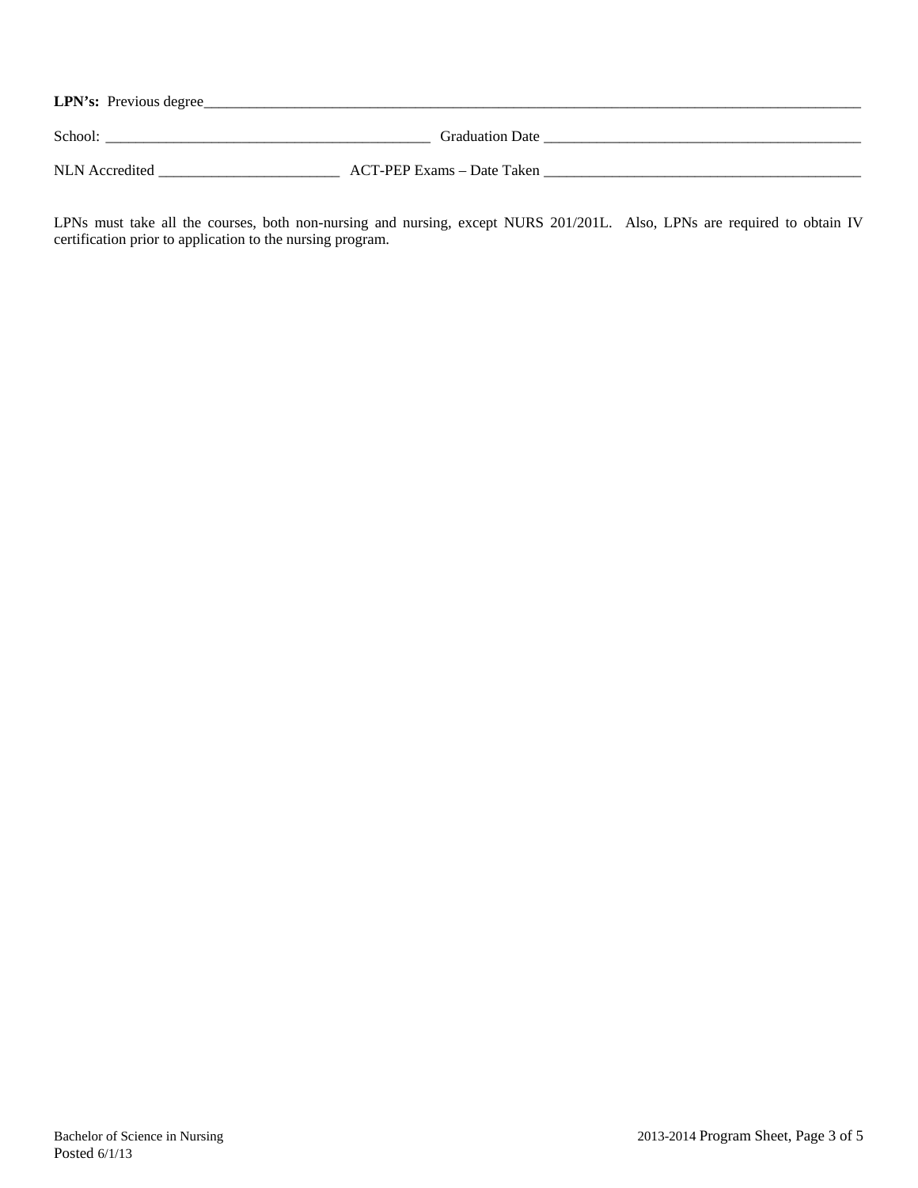| LPN's: Previous degree_ |                            |  |
|-------------------------|----------------------------|--|
| School:                 | <b>Graduation Date</b>     |  |
| NLN Accredited          | ACT-PEP Exams – Date Taken |  |

LPNs must take all the courses, both non-nursing and nursing, except NURS 201/201L. Also, LPNs are required to obtain IV certification prior to application to the nursing program.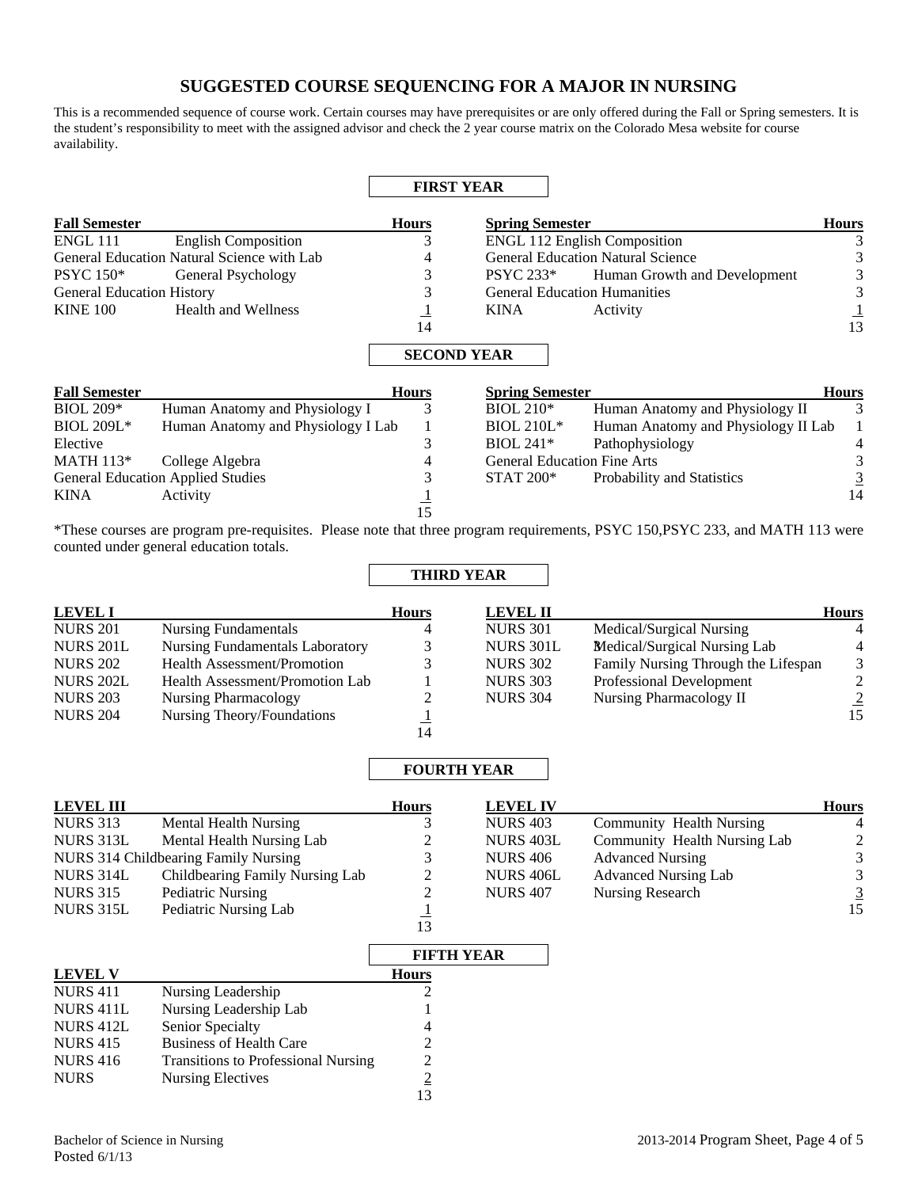# **SUGGESTED COURSE SEQUENCING FOR A MAJOR IN NURSING**

This is a recommended sequence of course work. Certain courses may have prerequisites or are only offered during the Fall or Spring semesters. It is the student's responsibility to meet with the assigned advisor and check the 2 year course matrix on the Colorado Mesa website for course availability.

|                                  |                                            | <b>FIRST YEAR</b>                  |                                     |                                          |                |
|----------------------------------|--------------------------------------------|------------------------------------|-------------------------------------|------------------------------------------|----------------|
| <b>Fall Semester</b>             |                                            | <b>Hours</b>                       | <b>Spring Semester</b>              |                                          | <b>Hours</b>   |
| <b>ENGL 111</b>                  | <b>English Composition</b>                 | 3                                  |                                     | <b>ENGL 112 English Composition</b>      | 3              |
|                                  | General Education Natural Science with Lab | 4                                  |                                     | <b>General Education Natural Science</b> | 3              |
| <b>PSYC</b> 150*                 | General Psychology                         | 3                                  | <b>PSYC 233*</b>                    | Human Growth and Development             | 3              |
| <b>General Education History</b> |                                            | 3                                  | <b>General Education Humanities</b> |                                          | 3              |
| <b>KINE 100</b>                  | <b>Health and Wellness</b>                 | $\overline{1}$                     | <b>KINA</b>                         | Activity                                 |                |
|                                  |                                            | 14                                 |                                     |                                          | 13             |
| <b>Fall Semester</b>             |                                            | <b>SECOND YEAR</b><br><b>Hours</b> | <b>Spring Semester</b>              |                                          | <b>Hours</b>   |
| $BIOL 209*$                      | Human Anatomy and Physiology I             | 3                                  | $BIOL 210*$                         | Human Anatomy and Physiology II          | 3              |
| <b>BIOL 209L*</b>                | Human Anatomy and Physiology I Lab         | 1                                  | <b>BIOL 210L*</b>                   | Human Anatomy and Physiology II Lab      |                |
| Elective                         |                                            | 3                                  | $BIOL 241*$                         | Pathophysiology                          | 4              |
| <b>MATH 113*</b>                 | College Algebra                            | 4                                  | <b>General Education Fine Arts</b>  |                                          | 3              |
|                                  | <b>General Education Applied Studies</b>   | 3                                  | <b>STAT 200*</b>                    | Probability and Statistics               | $\overline{3}$ |
| <b>KINA</b>                      | Activity                                   | 15                                 |                                     |                                          | 14             |

\*These courses are program pre-requisites. Please note that three program requirements, PSYC 150,PSYC 233, and MATH 113 were counted under general education totals.

**THIRD YEAR** 

| <b>LEVEL I</b>   |                                        | <b>Hours</b> | <b>LEVEL II</b>  |                                     | <b>Hours</b>   |
|------------------|----------------------------------------|--------------|------------------|-------------------------------------|----------------|
| <b>NURS 201</b>  | Nursing Fundamentals                   | 4            | <b>NURS 301</b>  | Medical/Surgical Nursing            |                |
| <b>NURS 201L</b> | <b>Nursing Fundamentals Laboratory</b> | 3            | <b>NURS 301L</b> | Medical/Surgical Nursing Lab        | 4              |
| <b>NURS 202</b>  | <b>Health Assessment/Promotion</b>     |              | <b>NURS 302</b>  | Family Nursing Through the Lifespan | 3              |
| <b>NURS 202L</b> | Health Assessment/Promotion Lab        |              | <b>NURS 303</b>  | Professional Development            | 2              |
| <b>NURS 203</b>  | Nursing Pharmacology                   |              | <b>NURS 304</b>  | Nursing Pharmacology II             | $\overline{2}$ |
| <b>NURS 204</b>  | Nursing Theory/Foundations             |              |                  |                                     | 15             |
|                  |                                        | 14           |                  |                                     |                |

### **FOURTH YEAR**

| <b>LEVEL III</b> |                                      | <b>Hours</b> | <b>LEVEL IV</b> |                              | <b>Hours</b>  |
|------------------|--------------------------------------|--------------|-----------------|------------------------------|---------------|
| <b>NURS 313</b>  | Mental Health Nursing                |              | <b>NURS 403</b> | Community Health Nursing     |               |
| NURS 313L        | Mental Health Nursing Lab            |              | NURS 403L       | Community Health Nursing Lab | $\mathcal{L}$ |
|                  | NURS 314 Childbearing Family Nursing |              | <b>NURS 406</b> | <b>Advanced Nursing</b>      | 3             |
| NURS 314L        | Childbearing Family Nursing Lab      | າ            | NURS 406L       | <b>Advanced Nursing Lab</b>  | 3             |
| <b>NURS 315</b>  | Pediatric Nursing                    |              | <b>NURS 407</b> | Nursing Research             |               |
| NURS 315L        | Pediatric Nursing Lab                |              |                 |                              | 15            |
|                  |                                      | 13           |                 |                              |               |

|                  |                                            | <b>FIFTH YEAR</b> |
|------------------|--------------------------------------------|-------------------|
| <b>LEVEL V</b>   |                                            | <b>Hours</b>      |
| <b>NURS 411</b>  | Nursing Leadership                         |                   |
| NURS 411L        | Nursing Leadership Lab                     |                   |
| <b>NURS 412L</b> | Senior Specialty                           | 4                 |
| <b>NURS 415</b>  | <b>Business of Health Care</b>             | $\mathfrak{D}$    |
| <b>NURS 416</b>  | <b>Transitions to Professional Nursing</b> | 2                 |
| <b>NURS</b>      | Nursing Electives                          | $\overline{2}$    |
|                  |                                            |                   |